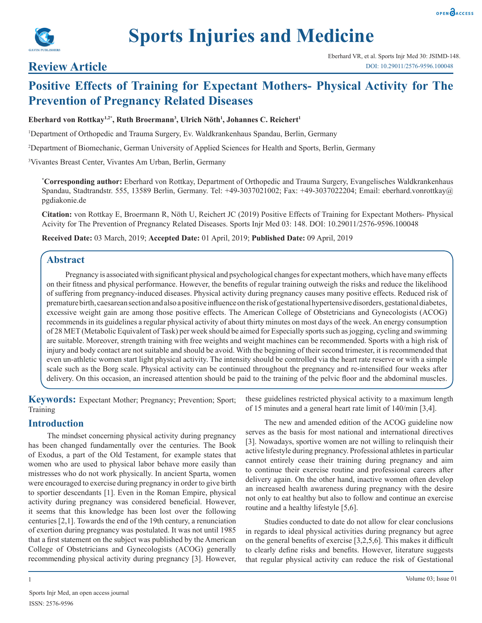

# **Sports Injuries and Medicine**

# **Review Article**

# **Positive Effects of Training for Expectant Mothers- Physical Activity for The Prevention of Pregnancy Related Diseases**

#### Eberhard von Rottkay<sup>1,2\*</sup>, Ruth Broermann<sup>3</sup>, Ulrich Nöth<sup>1</sup>, Johannes C. Reichert<sup>1</sup>

1 Department of Orthopedic and Trauma Surgery, Ev. Waldkrankenhaus Spandau, Berlin, Germany

2 Department of Biomechanic, German University of Applied Sciences for Health and Sports, Berlin, Germany

3 Vivantes Breast Center, Vivantes Am Urban, Berlin, Germany

**\* Corresponding author:** Eberhard von Rottkay, Department of Orthopedic and Trauma Surgery, Evangelisches Waldkrankenhaus Spandau, Stadtrandstr. 555, 13589 Berlin, Germany. Tel: +49-3037021002; Fax: +49-3037022204; Email: eberhard.vonrottkay@ pgdiakonie.de

**Citation:** von Rottkay E, Broermann R, Nöth U, Reichert JC (2019) Positive Effects of Training for Expectant Mothers- Physical Acivity for The Prevention of Pregnancy Related Diseases. Sports Injr Med 03: 148. DOI: 10.29011/2576-9596.100048

**Received Date:** 03 March, 2019; **Accepted Date:** 01 April, 2019; **Published Date:** 09 April, 2019

## **Abstract**

Pregnancy is associated with significant physical and psychological changes for expectant mothers, which have many effects on their fitness and physical performance. However, the benefits of regular training outweigh the risks and reduce the likelihood of suffering from pregnancy-induced diseases. Physical activity during pregnancy causes many positive effects. Reduced risk of premature birth, caesarean section and also a positive influence on the risk of gestational hypertensive disorders, gestational diabetes, excessive weight gain are among those positive effects. The American College of Obstetricians and Gynecologists (ACOG) recommends in its guidelines a regular physical activity of about thirty minutes on most days of the week. An energy consumption of 28 MET (Metabolic Equivalent of Task) per week should be aimed for Especially sports such as jogging, cycling and swimming are suitable. Moreover, strength training with free weights and weight machines can be recommended. Sports with a high risk of injury and body contact are not suitable and should be avoid. With the beginning of their second trimester, it is recommended that even un-athletic women start light physical activity. The intensity should be controlled via the heart rate reserve or with a simple scale such as the Borg scale. Physical activity can be continued throughout the pregnancy and re-intensified four weeks after delivery. On this occasion, an increased attention should be paid to the training of the pelvic floor and the abdominal muscles.

**Keywords:** Expectant Mother; Pregnancy; Prevention; Sport; Training

# **Introduction**

The mindset concerning physical activity during pregnancy has been changed fundamentally over the centuries. The Book of Exodus, a part of the Old Testament, for example states that women who are used to physical labor behave more easily than mistresses who do not work physically. In ancient Sparta, women were encouraged to exercise during pregnancy in order to give birth to sportier descendants [1]. Even in the Roman Empire, physical activity during pregnancy was considered beneficial. However, it seems that this knowledge has been lost over the following centuries [2,1]. Towards the end of the 19th century, a renunciation of exertion during pregnancy was postulated. It was not until 1985 that a first statement on the subject was published by the American College of Obstetricians and Gynecologists (ACOG) generally recommending physical activity during pregnancy [3]. However, these guidelines restricted physical activity to a maximum length of 15 minutes and a general heart rate limit of 140/min [3,4].

The new and amended edition of the ACOG guideline now serves as the basis for most national and international directives [3]. Nowadays, sportive women are not willing to relinquish their active lifestyle during pregnancy. Professional athletes in particular cannot entirely cease their training during pregnancy and aim to continue their exercise routine and professional careers after delivery again. On the other hand, inactive women often develop an increased health awareness during pregnancy with the desire not only to eat healthy but also to follow and continue an exercise routine and a healthy lifestyle [5,6].

Studies conducted to date do not allow for clear conclusions in regards to ideal physical activities during pregnancy but agree on the general benefits of exercise [3,2,5,6]. This makes it difficult to clearly define risks and benefits. However, literature suggests that regular physical activity can reduce the risk of Gestational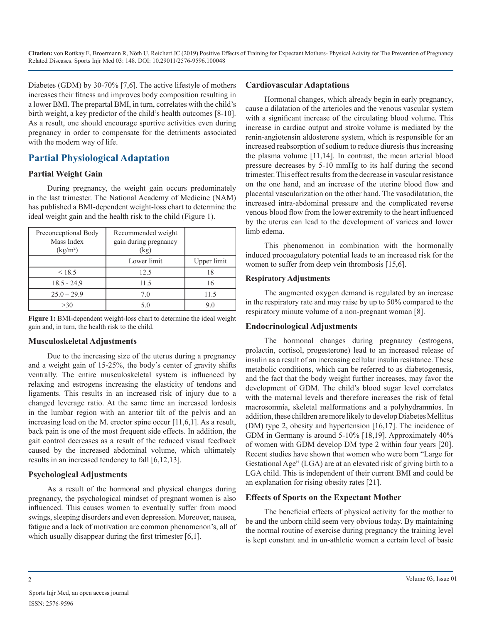Diabetes (GDM) by 30-70% [7,6]. The active lifestyle of mothers increases their fitness and improves body composition resulting in a lower BMI. The prepartal BMI, in turn, correlates with the child's birth weight, a key predictor of the child's health outcomes [8-10]. As a result, one should encourage sportive activities even during pregnancy in order to compensate for the detriments associated with the modern way of life.

# **Partial Physiological Adaptation**

#### **Partial Weight Gain**

During pregnancy, the weight gain occurs predominately in the last trimester. The National Academy of Medicine (NAM) has published a BMI-dependent weight-loss chart to determine the ideal weight gain and the health risk to the child (Figure 1).

| Preconceptional Body<br>Mass Index<br>(kg/m <sup>2</sup> ) | Recommended weight<br>gain during pregnancy<br>(kg) |             |
|------------------------------------------------------------|-----------------------------------------------------|-------------|
|                                                            | Lower limit                                         | Upper limit |
| < 18.5                                                     | 12.5                                                | 18          |
| $18.5 - 24.9$                                              | 11.5                                                | 16          |
| $25.0 - 29.9$                                              | 70                                                  | 11.5        |
| >30                                                        | 5.0                                                 | 9.0         |

**Figure 1:** BMI-dependent weight-loss chart to determine the ideal weight gain and, in turn, the health risk to the child.

#### **Musculoskeletal Adjustments**

Due to the increasing size of the uterus during a pregnancy and a weight gain of 15-25%, the body's center of gravity shifts ventrally. The entire musculoskeletal system is influenced by relaxing and estrogens increasing the elasticity of tendons and ligaments. This results in an increased risk of injury due to a changed leverage ratio. At the same time an increased lordosis in the lumbar region with an anterior tilt of the pelvis and an increasing load on the M. erector spine occur [11,6,1]. As a result, back pain is one of the most frequent side effects. In addition, the gait control decreases as a result of the reduced visual feedback caused by the increased abdominal volume, which ultimately results in an increased tendency to fall [6,12,13].

# **Psychological Adjustments**

As a result of the hormonal and physical changes during pregnancy, the psychological mindset of pregnant women is also influenced. This causes women to eventually suffer from mood swings, sleeping disorders and even depression. Moreover, nausea, fatigue and a lack of motivation are common phenomenon's, all of which usually disappear during the first trimester [6,1].

## **Cardiovascular Adaptations**

Hormonal changes, which already begin in early pregnancy, cause a dilatation of the arterioles and the venous vascular system with a significant increase of the circulating blood volume. This increase in cardiac output and stroke volume is mediated by the renin-angiotensin aldosterone system, which is responsible for an increased reabsorption of sodium to reduce diuresis thus increasing the plasma volume [11,14]. In contrast, the mean arterial blood pressure decreases by 5-10 mmHg to its half during the second trimester. This effect results from the decrease in vascular resistance on the one hand, and an increase of the uterine blood flow and placental vascularization on the other hand. The vasodilatation, the increased intra-abdominal pressure and the complicated reverse venous blood flow from the lower extremity to the heart influenced by the uterus can lead to the development of varices and lower limb edema.

This phenomenon in combination with the hormonally induced procoagulatory potential leads to an increased risk for the women to suffer from deep vein thrombosis [15,6].

#### **Respiratory Adjustments**

The augmented oxygen demand is regulated by an increase in the respiratory rate and may raise by up to 50% compared to the respiratory minute volume of a non-pregnant woman [8].

#### **Endocrinological Adjustments**

The hormonal changes during pregnancy (estrogens, prolactin, cortisol, progesterone) lead to an increased release of insulin as a result of an increasing cellular insulin resistance. These metabolic conditions, which can be referred to as diabetogenesis, and the fact that the body weight further increases, may favor the development of GDM. The child's blood sugar level correlates with the maternal levels and therefore increases the risk of fetal macrosomnia, skeletal malformations and a polyhydramnios. In addition, these children are more likely to develop Diabetes Mellitus (DM) type 2, obesity and hypertension [16,17]. The incidence of GDM in Germany is around 5-10% [18,19]. Approximately 40% of women with GDM develop DM type 2 within four years [20]. Recent studies have shown that women who were born "Large for Gestational Age" (LGA) are at an elevated risk of giving birth to a LGA child. This is independent of their current BMI and could be an explanation for rising obesity rates [21].

# **Effects of Sports on the Expectant Mother**

The beneficial effects of physical activity for the mother to be and the unborn child seem very obvious today. By maintaining the normal routine of exercise during pregnancy the training level is kept constant and in un-athletic women a certain level of basic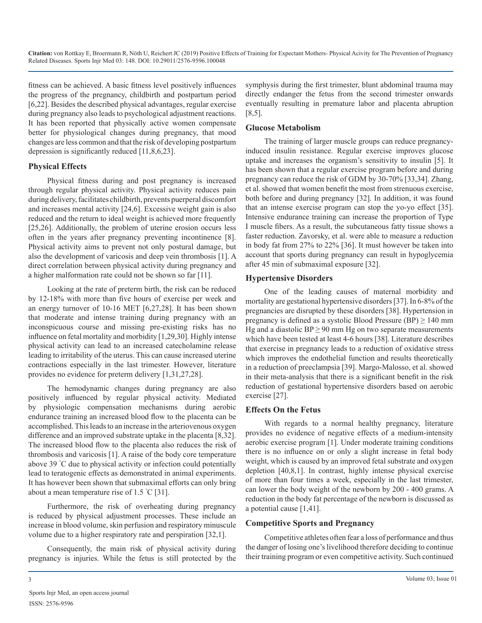fitness can be achieved. A basic fitness level positively influences the progress of the pregnancy, childbirth and postpartum period [6,22]. Besides the described physical advantages, regular exercise during pregnancy also leads to psychological adjustment reactions. It has been reported that physically active women compensate better for physiological changes during pregnancy, that mood changes are less common and that the risk of developing postpartum depression is significantly reduced [11,8,6,23].

#### **Physical Effects**

Physical fitness during and post pregnancy is increased through regular physical activity. Physical activity reduces pain during delivery, facilitates childbirth, prevents puerperal discomfort and increases mental activity [24,6]. Excessive weight gain is also reduced and the return to ideal weight is achieved more frequently [25,26]. Additionally, the problem of uterine erosion occurs less often in the years after pregnancy preventing incontinence [8]. Physical activity aims to prevent not only postural damage, but also the development of varicosis and deep vein thrombosis [1]. A direct correlation between physical activity during pregnancy and a higher malformation rate could not be shown so far [11].

Looking at the rate of preterm birth, the risk can be reduced by 12-18% with more than five hours of exercise per week and an energy turnover of 10-16 MET [6,27,28]. It has been shown that moderate and intense training during pregnancy with an inconspicuous course and missing pre-existing risks has no influence on fetal mortality and morbidity [1,29,30]. Highly intense physical activity can lead to an increased catecholamine release leading to irritability of the uterus. This can cause increased uterine contractions especially in the last trimester. However, literature provides no evidence for preterm delivery [1,31,27,28].

The hemodynamic changes during pregnancy are also positively influenced by regular physical activity. Mediated by physiologic compensation mechanisms during aerobic endurance training an increased blood flow to the placenta can be accomplished. This leads to an increase in the arteriovenous oxygen difference and an improved substrate uptake in the placenta [8,32]. The increased blood flow to the placenta also reduces the risk of thrombosis and varicosis [1]. A raise of the body core temperature above 39 ° C due to physical activity or infection could potentially lead to teratogenic effects as demonstrated in animal experiments. It has however been shown that submaximal efforts can only bring about a mean temperature rise of 1.5 ° C [31].

Furthermore, the risk of overheating during pregnancy is reduced by physical adjustment processes. These include an increase in blood volume, skin perfusion and respiratory minuscule volume due to a higher respiratory rate and perspiration [32,1].

Consequently, the main risk of physical activity during pregnancy is injuries. While the fetus is still protected by the symphysis during the first trimester, blunt abdominal trauma may directly endanger the fetus from the second trimester onwards eventually resulting in premature labor and placenta abruption [8,5].

## **Glucose Metabolism**

The training of larger muscle groups can reduce pregnancyinduced insulin resistance. Regular exercise improves glucose uptake and increases the organism's sensitivity to insulin [5]. It has been shown that a regular exercise program before and during pregnancy can reduce the risk of GDM by 30-70% [33,34]. Zhang, et al. showed that women benefit the most from strenuous exercise, both before and during pregnancy [32]. In addition, it was found that an intense exercise program can stop the yo-yo effect [35]. Intensive endurance training can increase the proportion of Type I muscle fibers. As a result, the subcutaneous fatty tissue shows a faster reduction. Zavorsky, et al. were able to measure a reduction in body fat from 27% to 22% [36]. It must however be taken into account that sports during pregnancy can result in hypoglycemia after 45 min of submaximal exposure [32].

## **Hypertensive Disorders**

One of the leading causes of maternal morbidity and mortality are gestational hypertensive disorders [37]. In 6-8% of the pregnancies are disrupted by these disorders [38]. Hypertension in pregnancy is defined as a systolic Blood Pressure (BP)  $\geq$  140 mm Hg and a diastolic  $BP \ge 90$  mm Hg on two separate measurements which have been tested at least 4-6 hours [38]. Literature describes that exercise in pregnancy leads to a reduction of oxidative stress which improves the endothelial function and results theoretically in a reduction of preeclampsia [39]. Margo-Malosso, et al. showed in their meta-analysis that there is a significant benefit in the risk reduction of gestational hypertensive disorders based on aerobic exercise [27].

# **Effects On the Fetus**

With regards to a normal healthy pregnancy, literature provides no evidence of negative effects of a medium-intensity aerobic exercise program [1]. Under moderate training conditions there is no influence on or only a slight increase in fetal body weight, which is caused by an improved fetal substrate and oxygen depletion [40,8,1]. In contrast, highly intense physical exercise of more than four times a week, especially in the last trimester, can lower the body weight of the newborn by 200 - 400 grams. A reduction in the body fat percentage of the newborn is discussed as a potential cause [1,41].

# **Competitive Sports and Pregnancy**

Competitive athletes often fear a loss of performance and thus the danger of losing one's livelihood therefore deciding to continue their training program or even competitive activity. Such continued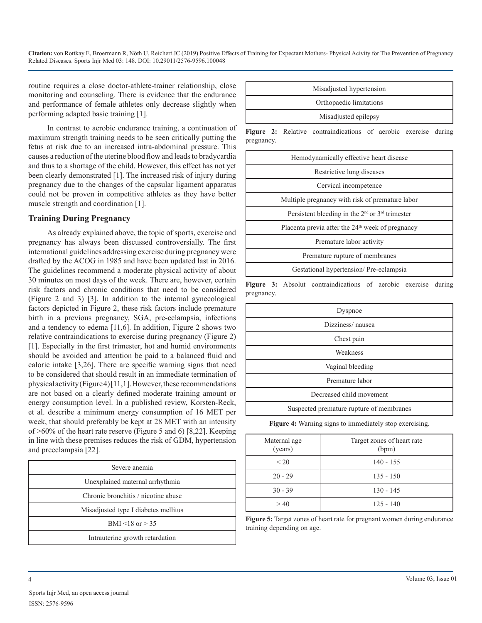routine requires a close doctor-athlete-trainer relationship, close monitoring and counseling. There is evidence that the endurance and performance of female athletes only decrease slightly when performing adapted basic training [1].

In contrast to aerobic endurance training, a continuation of maximum strength training needs to be seen critically putting the fetus at risk due to an increased intra-abdominal pressure. This causes a reduction of the uterine blood flow and leads to bradycardia and thus to a shortage of the child. However, this effect has not yet been clearly demonstrated [1]. The increased risk of injury during pregnancy due to the changes of the capsular ligament apparatus could not be proven in competitive athletes as they have better muscle strength and coordination [1].

#### **Training During Pregnancy**

As already explained above, the topic of sports, exercise and pregnancy has always been discussed controversially. The first international guidelines addressing exercise during pregnancy were drafted by the ACOG in 1985 and have been updated last in 2016. The guidelines recommend a moderate physical activity of about 30 minutes on most days of the week. There are, however, certain risk factors and chronic conditions that need to be considered (Figure 2 and 3) [3]. In addition to the internal gynecological factors depicted in Figure 2, these risk factors include premature birth in a previous pregnancy, SGA, pre-eclampsia, infections and a tendency to edema [11,6]. In addition, Figure 2 shows two relative contraindications to exercise during pregnancy (Figure 2) [1]. Especially in the first trimester, hot and humid environments should be avoided and attention be paid to a balanced fluid and calorie intake [3,26]. There are specific warning signs that need to be considered that should result in an immediate termination of physical activity (Figure 4) [11,1]. However, these recommendations are not based on a clearly defined moderate training amount or energy consumption level. In a published review, Korsten-Reck, et al. describe a minimum energy consumption of 16 MET per week, that should preferably be kept at 28 MET with an intensity of >60% of the heart rate reserve (Figure 5 and 6) [8,22]. Keeping in line with these premises reduces the risk of GDM, hypertension and preeclampsia [22].

| Severe anemia                        |  |  |
|--------------------------------------|--|--|
| Unexplained maternal arrhythmia      |  |  |
| Chronic bronchitis / nicotine abuse  |  |  |
| Misadjusted type I diabetes mellitus |  |  |
| BMI <18 or $> 35$                    |  |  |
| Intrauterine growth retardation      |  |  |

| Misadjusted hypertension |  |
|--------------------------|--|
| Orthopaedic limitations  |  |
| Misadjusted epilepsy     |  |
|                          |  |

**Figure 2:** Relative contraindications of aerobic exercise during pregnancy.

| Hemodynamically effective heart disease                                 |
|-------------------------------------------------------------------------|
| Restrictive lung diseases                                               |
| Cervical incompetence                                                   |
| Multiple pregnancy with risk of premature labor                         |
| Persistent bleeding in the 2 <sup>nd</sup> or 3 <sup>rd</sup> trimester |
| Placenta previa after the $24th$ week of pregnancy                      |
| Premature labor activity                                                |
| Premature rupture of membranes                                          |
| Gestational hypertension/Pre-eclampsia                                  |

**Figure 3:** Absolut contraindications of aerobic exercise during pregnancy.

| Dyspnoe                                  |  |  |
|------------------------------------------|--|--|
| Dizziness/nausea                         |  |  |
| Chest pain                               |  |  |
| Weakness                                 |  |  |
| Vaginal bleeding                         |  |  |
| Premature labor                          |  |  |
| Decreased child movement                 |  |  |
| Suspected premature rupture of membranes |  |  |

**Figure 4:** Warning signs to immediately stop exercising.

| Maternal age<br>(years) | Target zones of heart rate<br>(bpm) |
|-------------------------|-------------------------------------|
| < 20                    | $140 - 155$                         |
| $20 - 29$               | $135 - 150$                         |
| $30 - 39$               | $130 - 145$                         |
| >40                     | $125 - 140$                         |

**Figure 5:** Target zones of heart rate for pregnant women during endurance training depending on age.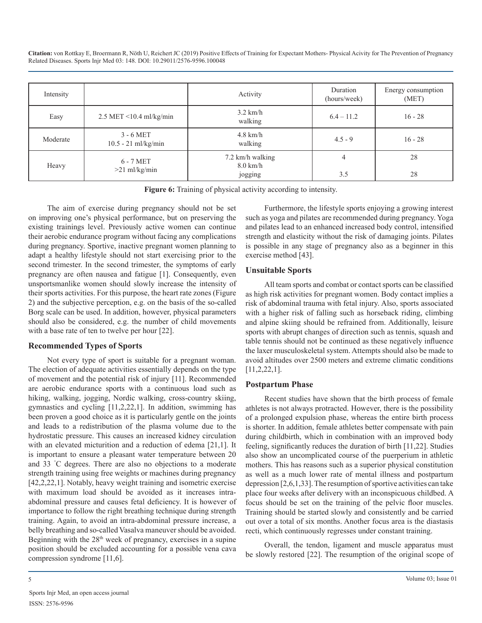| Intensity |                                      | Activity                                          | Duration<br>(hours/week) | Energy consumption<br>(MET) |
|-----------|--------------------------------------|---------------------------------------------------|--------------------------|-----------------------------|
| Easy      | 2.5 MET <10.4 ml/kg/min              | $3.2$ km/h<br>walking                             | $6.4 - 11.2$             | $16 - 28$                   |
| Moderate  | $3 - 6$ MET<br>$10.5 - 21$ ml/kg/min | $4.8$ km/h<br>walking                             | $4.5 - 9$                | $16 - 28$                   |
| Heavy     | $6 - 7$ MET<br>$>21$ ml/kg/min       | 7.2 km/h walking<br>$8.0 \text{ km/h}$<br>jogging | 4<br>3.5                 | 28<br>28                    |

**Figure 6:** Training of physical activity according to intensity.

The aim of exercise during pregnancy should not be set on improving one's physical performance, but on preserving the existing trainings level. Previously active women can continue their aerobic endurance program without facing any complications during pregnancy. Sportive, inactive pregnant women planning to adapt a healthy lifestyle should not start exercising prior to the second trimester. In the second trimester, the symptoms of early pregnancy are often nausea and fatigue [1]. Consequently, even unsportsmanlike women should slowly increase the intensity of their sports activities. For this purpose, the heart rate zones (Figure 2) and the subjective perception, e.g. on the basis of the so-called Borg scale can be used. In addition, however, physical parameters should also be considered, e.g. the number of child movements with a base rate of ten to twelve per hour [22].

#### **Recommended Types of Sports**

Not every type of sport is suitable for a pregnant woman. The election of adequate activities essentially depends on the type of movement and the potential risk of injury [11]. Recommended are aerobic endurance sports with a continuous load such as hiking, walking, jogging, Nordic walking, cross-country skiing, gymnastics and cycling [11,2,22,1]. In addition, swimming has been proven a good choice as it is particularly gentle on the joints and leads to a redistribution of the plasma volume due to the hydrostatic pressure. This causes an increased kidney circulation with an elevated micturition and a reduction of edema [21,1]. It is important to ensure a pleasant water temperature between 20 and 33 ° C degrees. There are also no objections to a moderate strength training using free weights or machines during pregnancy [42,2,22,1]. Notably, heavy weight training and isometric exercise with maximum load should be avoided as it increases intraabdominal pressure and causes fetal deficiency. It is however of importance to follow the right breathing technique during strength training. Again, to avoid an intra-abdominal pressure increase, a belly breathing and so-called Vasalva maneuver should be avoided. Beginning with the  $28<sup>th</sup>$  week of pregnancy, exercises in a supine position should be excluded accounting for a possible vena cava compression syndrome [11,6].

Furthermore, the lifestyle sports enjoying a growing interest such as yoga and pilates are recommended during pregnancy. Yoga and pilates lead to an enhanced increased body control, intensified strength and elasticity without the risk of damaging joints. Pilates is possible in any stage of pregnancy also as a beginner in this exercise method [43].

#### **Unsuitable Sports**

All team sports and combat or contact sports can be classified as high risk activities for pregnant women. Body contact implies a risk of abdominal trauma with fetal injury. Also, sports associated with a higher risk of falling such as horseback riding, climbing and alpine skiing should be refrained from. Additionally, leisure sports with abrupt changes of direction such as tennis, squash and table tennis should not be continued as these negatively influence the laxer musculoskeletal system. Attempts should also be made to avoid altitudes over 2500 meters and extreme climatic conditions [11,2,22,1].

#### **Postpartum Phase**

Recent studies have shown that the birth process of female athletes is not always protracted. However, there is the possibility of a prolonged expulsion phase, whereas the entire birth process is shorter. In addition, female athletes better compensate with pain during childbirth, which in combination with an improved body feeling, significantly reduces the duration of birth [11,22]. Studies also show an uncomplicated course of the puerperium in athletic mothers. This has reasons such as a superior physical constitution as well as a much lower rate of mental illness and postpartum depression [2,6,1,33]. The resumption of sportive activities can take place four weeks after delivery with an inconspicuous childbed. A focus should be set on the training of the pelvic floor muscles. Training should be started slowly and consistently and be carried out over a total of six months. Another focus area is the diastasis recti, which continuously regresses under constant training.

Overall, the tendon, ligament and muscle apparatus must be slowly restored [22]. The resumption of the original scope of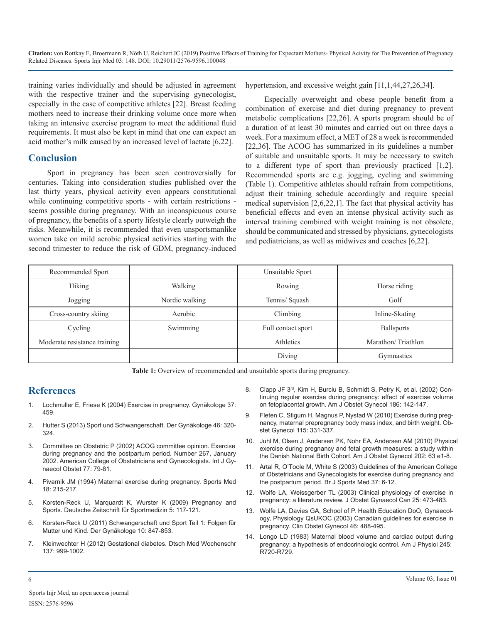training varies individually and should be adjusted in agreement with the respective trainer and the supervising gynecologist, especially in the case of competitive athletes [22]. Breast feeding mothers need to increase their drinking volume once more when taking an intensive exercise program to meet the additional fluid requirements. It must also be kept in mind that one can expect an acid mother's milk caused by an increased level of lactate [6,22].

## **Conclusion**

Sport in pregnancy has been seen controversially for centuries. Taking into consideration studies published over the last thirty years, physical activity even appears constitutional while continuing competitive sports - with certain restrictions seems possible during pregnancy. With an inconspicuous course of pregnancy, the benefits of a sporty lifestyle clearly outweigh the risks. Meanwhile, it is recommended that even unsportsmanlike women take on mild aerobic physical activities starting with the second trimester to reduce the risk of GDM, pregnancy-induced

hypertension, and excessive weight gain [11,1,44,27,26,34].

Especially overweight and obese people benefit from a combination of exercise and diet during pregnancy to prevent metabolic complications [22,26]. A sports program should be of a duration of at least 30 minutes and carried out on three days a week. For a maximum effect, a MET of 28 a week is recommended [22,36]. The ACOG has summarized in its guidelines a number of suitable and unsuitable sports. It may be necessary to switch to a different type of sport than previously practiced [1,2]. Recommended sports are e.g. jogging, cycling and swimming (Table 1). Competitive athletes should refrain from competitions, adjust their training schedule accordingly and require special medical supervision [2,6,22,1]. The fact that physical activity has beneficial effects and even an intense physical activity such as interval training combined with weight training is not obsolete, should be communicated and stressed by physicians, gynecologists and pediatricians, as well as midwives and coaches [6,22].

| Recommended Sport            |                | Unsuitable Sport   |                    |
|------------------------------|----------------|--------------------|--------------------|
| Hiking                       | Walking        | Rowing             | Horse riding       |
| Jogging                      | Nordic walking | Tennis/ Squash     | Golf               |
| Cross-country skiing         | Aerobic        | Climbing           | Inline-Skating     |
| Cycling                      | Swimming       | Full contact sport | <b>Ballsports</b>  |
| Moderate resistance training |                | Athletics          | Marathon/Triathlon |
|                              |                | Diving             | Gymnastics         |

**Table 1:** Overview of recommended and unsuitable sports during pregnancy.

# **References**

- 1. Lochmuller E, Friese K (2004) Exercise in pregnancy. Gynäkologe 37: 459.
- 2. Hutter S (2013) Sport und Schwangerschaft. Der Gynäkologe 46: 320- 324.
- 3. [Committee on Obstetric P \(2002\) ACOG committee opinion. Exercise](https://www.ncbi.nlm.nih.gov/pubmed/11777528)  during pregnancy and the postpartum period. Number 267, January [2002. American College of Obstetricians and Gynecologists. Int J Gy](https://www.ncbi.nlm.nih.gov/pubmed/11777528)[naecol Obstet 77: 79-81.](https://www.ncbi.nlm.nih.gov/pubmed/11777528)
- 4. Pivarnik JM (1994) Maternal exercise during pregnancy. Sports Med 18: 215-217.
- 5. Korsten-Reck U, Marquardt K, Wurster K (2009) Pregnancy and Sports. Deutsche Zeitschrift für Sportmedizin 5: 117-121.
- 6. [Korsten-Reck U \(2011\) Schwangerschaft und Sport Teil 1: Folgen für](https://www.springermedizin.de/schwangerschaft-und-sport/8105048)  Mutter und Kind. Der Gynäkologe 10: 847-853.
- 7. Kleinwechter H (2012) Gestational diabetes. Dtsch Med Wochenschr 137: 999-1002.
- 8. Clapp JF 3<sup>rd</sup>, Kim H, Burciu B, Schmidt S, Petry K, et al. (2002) Con[tinuing regular exercise during pregnancy: effect of exercise volume](https://www.ncbi.nlm.nih.gov/pubmed/11810100)  [on fetoplacental growth. Am J Obstet Gynecol 186: 142-147.](https://www.ncbi.nlm.nih.gov/pubmed/11810100)
- 9. [Fleten C, Stigum H, Magnus P, Nystad W \(2010\) Exercise during preg](https://www.ncbi.nlm.nih.gov/pubmed/20093907)nancy, maternal prepregnancy body mass index, and birth weight. Ob[stet Gynecol 115: 331-337.](https://www.ncbi.nlm.nih.gov/pubmed/20093907)
- 10. [Juhl M, Olsen J, Andersen PK, Nohr EA, Andersen AM \(2010\) Physica](https://www.ncbi.nlm.nih.gov/pubmed/19800601)l exercise during pregnancy and fetal growth measures: a study within [the Danish National Birth Cohort. Am J Obstet Gynecol 202: 63 e1-8.](https://www.ncbi.nlm.nih.gov/pubmed/19800601)
- 11. [Artal R, O'Toole M, White S \(2003\) Guidelines of the American Colleg](https://www.ncbi.nlm.nih.gov/pmc/articles/PMC1724598/)e of Obstetricians and Gynecologists for exercise during pregnancy an[d](https://www.ncbi.nlm.nih.gov/pmc/articles/PMC1724598/)  [the postpartum period. Br J Sports Med 37: 6-12.](https://www.ncbi.nlm.nih.gov/pmc/articles/PMC1724598/)
- 12. [Wolfe LA, Weissgerber TL \(2003\) Clinical physiology of exercise in](https://www.ncbi.nlm.nih.gov/pubmed/12806449)  pregnancy: a literature review. J Obstet Gynaecol Can 25: 473-483.
- 13. [Wolfe LA, Davies GA, School of P. Health Education DoO, Gynaecol](https://www.ncbi.nlm.nih.gov/pubmed/12808398)ogy, Physiology QsUKOC (2003) Canadian guidelines for exercise in [pregnancy. Clin Obstet Gynecol 46: 488-495.](https://www.ncbi.nlm.nih.gov/pubmed/12808398)
- 14. [Longo LD \(1983\) Maternal blood volume and cardiac output during](https://www.ncbi.nlm.nih.gov/pubmed/6356942)  pregnancy: a hypothesis of endocrinologic control. Am J Physiol 245: [R720-R729.](https://www.ncbi.nlm.nih.gov/pubmed/6356942)